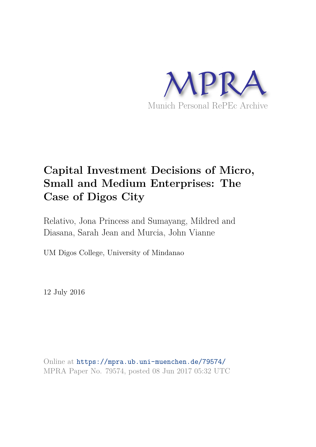

# **Capital Investment Decisions of Micro, Small and Medium Enterprises: The Case of Digos City**

Relativo, Jona Princess and Sumayang, Mildred and Diasana, Sarah Jean and Murcia, John Vianne

UM Digos College, University of Mindanao

12 July 2016

Online at https://mpra.ub.uni-muenchen.de/79574/ MPRA Paper No. 79574, posted 08 Jun 2017 05:32 UTC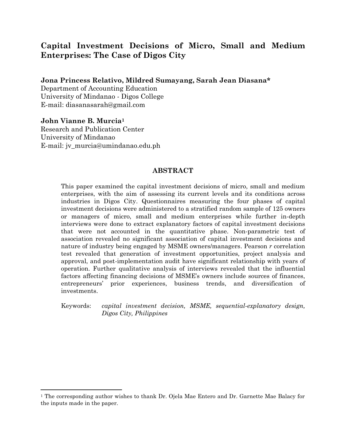# **Capital Investment Decisions of Micro, Small and Medium Enterprises: The Case of Digos City**

**Jona Princess Relativo, Mildred Sumayang, Sarah Jean Diasana\***

Department of Accounting Education University of Mindanao - Digos College E-mail: [diasanasarah@gmail.com](mailto:diasanasarah@gmail.com) 

**John Vianne B. Murcia<sup>1</sup>** Research and Publication Center University of Mindanao E-mail: [jv\\_murcia@umindanao.edu.ph](mailto:jv_murcia@umindanao.edu.ph)

 $\overline{a}$ 

#### **ABSTRACT**

This paper examined the capital investment decisions of micro, small and medium enterprises, with the aim of assessing its current levels and its conditions across industries in Digos City. Questionnaires measuring the four phases of capital investment decisions were administered to a stratified random sample of 125 owners or managers of micro, small and medium enterprises while further in-depth interviews were done to extract explanatory factors of capital investment decisions that were not accounted in the quantitative phase. Non-parametric test of association revealed no significant association of capital investment decisions and nature of industry being engaged by MSME owners/managers. Pearson *r* correlation test revealed that generation of investment opportunities, project analysis and approval, and post-implementation audit have significant relationship with years of operation. Further qualitative analysis of interviews revealed that the influential factors affecting financing decisions of MSME's owners include sources of finances, entrepreneurs' prior experiences, business trends, and diversification of investments.

Keywords: *capital investment decision, MSME, sequential-explanatory design, Digos City, Philippines* 

<sup>&</sup>lt;sup>1</sup> The corresponding author wishes to thank Dr. Ojela Mae Entero and Dr. Garnette Mae Balacy for the inputs made in the paper.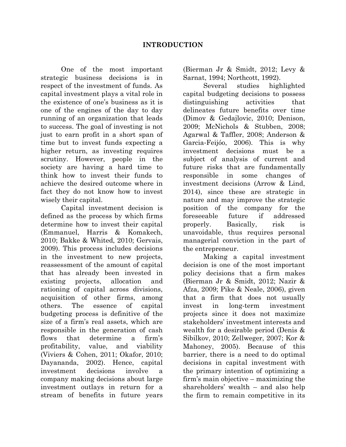One of the most important strategic business decisions is in respect of the investment of funds. As capital investment plays a vital role in the existence of one's business as it is one of the engines of the day to day running of an organization that leads to success. The goal of investing is not just to earn profit in a short span of time but to invest funds expecting a higher return, as investing requires scrutiny. However, people in the society are having a hard time to think how to invest their funds to achieve the desired outcome where in fact they do not know how to invest wisely their capital.

Capital investment decision is defined as the process by which firms determine how to invest their capital (Emmanuel, Harris & Komakech, 2010; Bakke & Whited, 2010; Gervais, 2009). This process includes decisions in the investment to new projects, reassessment of the amount of capital that has already been invested in existing projects, allocation and rationing of capital across divisions, acquisition of other firms, among others. The essence of capital budgeting process is definitive of the size of a firm's real assets, which are responsible in the generation of cash flows that determine a firm's profitability, value, and viability (Viviers & Cohen, 2011; Okafor, 2010; Dayananda, 2002). Hence, capital investment decisions involve a company making decisions about large investment outlays in return for a stream of benefits in future years

(Bierman Jr & Smidt, 2012; Levy & Sarnat, 1994; Northcott, 1992).

Several studies highlighted capital budgeting decisions to possess distinguishing activities that delineates future benefits over time (Dimov & Gedajlovic, 2010; Denison, 2009; McNichols & Stubben, 2008; Agarwal & Taffler, 2008; Anderson & Garcia‐Feijóo, 2006). This is why investment decisions must be a subject of analysis of current and future risks that are fundamentally responsible in some changes of investment decisions (Arrow & Lind, 2014), since these are strategic in nature and may improve the strategic position of the company for the foreseeable future if addressed properly. Basically, risk is unavoidable, thus requires personal managerial conviction in the part of the entrepreneur.

Making a capital investment decision is one of the most important policy decisions that a firm makes (Bierman Jr & Smidt, 2012; Nazir & Afza, 2009; Pike & Neale, 2006), given that a firm that does not usually invest in long-term investment projects since it does not maximize stakeholders' investment interests and wealth for a desirable period (Denis & Sibilkov, 2010; Zellweger, 2007; Kor & Mahoney, 2005). Because of this barrier, there is a need to do optimal decisions in capital investment with the primary intention of optimizing a firm's main objective – maximizing the shareholders' wealth – and also help the firm to remain competitive in its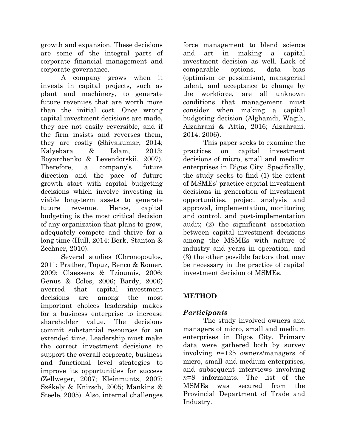growth and expansion. These decisions are some of the integral parts of corporate financial management and corporate governance.

A company grows when it invests in capital projects, such as plant and machinery, to generate future revenues that are worth more than the initial cost. Once wrong capital investment decisions are made, they are not easily reversible, and if the firm insists and reverses them, they are costly (Shivakumar, 2014; Kalyebara & Islam, 2013; Boyarchenko & Levendorskii, 2007). Therefore, a company's future direction and the pace of future growth start with capital budgeting decisions which involve investing in viable long-term assets to generate future revenue. Hence, capital budgeting is the most critical decision of any organization that plans to grow, adequately compete and thrive for a long time (Hull, 2014; Berk, Stanton & Zechner, 2010).

Several studies (Chronopoulos, 2011; Prather, Topuz, Benco & Romer, 2009; Claessens & Tzioumis, 2006; Genus & Coles, 2006; Bardy, 2006) averred that capital investment decisions are among the most important choices leadership makes for a business enterprise to increase shareholder value. The decisions commit substantial resources for an extended time. Leadership must make the correct investment decisions to support the overall corporate, business and functional level strategies to improve its opportunities for success (Zellweger, 2007; Kleinmuntz, 2007; Székely & Knirsch, 2005; Mankins & Steele, 2005). Also, internal challenges force management to blend science and art in making a capital investment decision as well. Lack of comparable options, data bias (optimism or pessimism), managerial talent, and acceptance to change by the workforce, are all unknown conditions that management must consider when making a capital budgeting decision (Alghamdi, Wagih, Alzahrani & Attia, 2016; Alzahrani, 2014; 2006).

This paper seeks to examine the practices on capital investment decisions of micro, small and medium enterprises in Digos City. Specifically, the study seeks to find (1) the extent of MSMEs' practice capital investment decisions in generation of investment opportunities, project analysis and approval, implementation, monitoring and control, and post-implementation audit; (2) the significant association between capital investment decisions among the MSMEs with nature of industry and years in operation; and (3) the other possible factors that may be necessary in the practice of capital investment decision of MSMEs.

# **METHOD**

# *Participants*

 The study involved owners and managers of micro, small and medium enterprises in Digos City. Primary data were gathered both by survey involving *n*=125 owners/managers of micro, small and medium enterprises, and subsequent interviews involving *n*=8 informants. The list of the MSMEs was secured from the Provincial Department of Trade and Industry.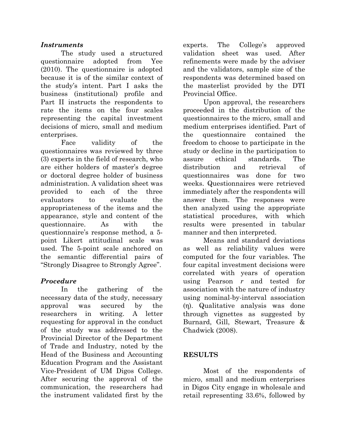## *Instruments*

The study used a structured questionnaire adopted from Yee (2010). The questionnaire is adopted because it is of the similar context of the study's intent. Part I asks the business (institutional) profile and Part II instructs the respondents to rate the items on the four scales representing the capital investment decisions of micro, small and medium enterprises.

Face validity of the questionnaires was reviewed by three (3) experts in the field of research, who are either holders of master's degree or doctoral degree holder of business administration. A validation sheet was provided to each of the three evaluators to evaluate the appropriateness of the items and the appearance, style and content of the questionnaire. As with the questionnaire's response method, a 5 point Likert attitudinal scale was used. The 5-point scale anchored on the semantic differential pairs of "Strongly Disagree to Strongly Agree".

## *Procedure*

In the gathering of the necessary data of the study, necessary approval was secured by the researchers in writing. A letter requesting for approval in the conduct of the study was addressed to the Provincial Director of the Department of Trade and Industry, noted by the Head of the Business and Accounting Education Program and the Assistant Vice-President of UM Digos College. After securing the approval of the communication, the researchers had the instrument validated first by the experts. The College's approved validation sheet was used. After refinements were made by the adviser and the validators, sample size of the respondents was determined based on the masterlist provided by the DTI Provincial Office.

Upon approval, the researchers proceeded in the distribution of the questionnaires to the micro, small and medium enterprises identified. Part of the questionnaire contained the freedom to choose to participate in the study or decline in the participation to assure ethical standards. The distribution and retrieval of questionnaires was done for two weeks. Questionnaires were retrieved immediately after the respondents will answer them. The responses were then analyzed using the appropriate statistical procedures, with which results were presented in tabular manner and then interpreted.

Means and standard deviations as well as reliability values were computed for the four variables. The four capital investment decisions were correlated with years of operation using Pearson *r* and tested for association with the nature of industry using nominal-by-interval association (η). Qualitative analysis was done through vignettes as suggested by Burnard, Gill, Stewart, Treasure & Chadwick (2008).

## **RESULTS**

Most of the respondents of micro, small and medium enterprises in Digos City engage in wholesale and retail representing 33.6%, followed by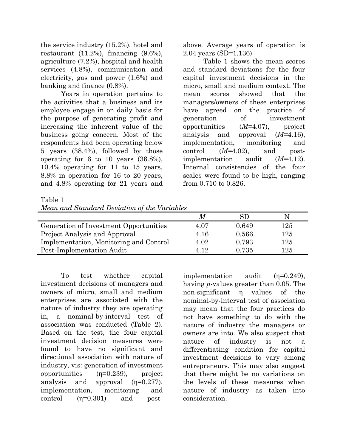the service industry (15.2%), hotel and restaurant  $(11.2\%)$ , financing  $(9.6\%)$ , agriculture (7.2%), hospital and health services (4.8%), communication and electricity, gas and power (1.6%) and banking and finance (0.8%).

Years in operation pertains to the activities that a business and its employee engage in on daily basis for the purpose of generating profit and increasing the inherent value of the business going concern. Most of the respondents had been operating below 5 years (38.4%), followed by those operating for 6 to 10 years (36.8%), 10.4% operating for 11 to 15 years, 8.8% in operation for 16 to 20 years, and 4.8% operating for 21 years and

above. Average years of operation is 2.04 years (SD=1.136)

Table 1 shows the mean scores and standard deviations for the four capital investment decisions in the micro, small and medium context. The mean scores showed that the managers/owners of these enterprises have agreed on the practice of generation of investment opportunities (*M=*4.07), project analysis and approval (*M=*4.16), implementation, monitoring and control (*M=*4.02), and postimplementation audit (*M=*4.12). Internal consistencies of the four scales were found to be high, ranging from 0.710 to 0.826.

Table 1

| Mean and Standard Deviation of the Variables |
|----------------------------------------------|
|----------------------------------------------|

|                                        |      | SD    |     |
|----------------------------------------|------|-------|-----|
| Generation of Investment Opportunities | 4.07 | 0.649 | 125 |
| Project Analysis and Approval          | 4.16 | 0.566 | 125 |
| Implementation, Monitoring and Control | 4.02 | 0.793 | 125 |
| Post-Implementation Audit              | 412  | 0.735 | 125 |

To test whether capital investment decisions of managers and owners of micro, small and medium enterprises are associated with the nature of industry they are operating in, a nominal-by-interval test of association was conducted (Table 2). Based on the test, the four capital investment decision measures were found to have no significant and directional association with nature of industry, vis: generation of investment opportunities  $(n=0.239)$ , project analysis and approval (η=0.277), implementation, monitoring and control  $(n=0.301)$  and post-

implementation audit  $(\eta=0.249)$ , having *p*-values greater than 0.05. The non-significant η values of the nominal-by-interval test of association may mean that the four practices do not have something to do with the nature of industry the managers or owners are into. We also suspect that nature of industry is not a differentiating condition for capital investment decisions to vary among entrepreneurs. This may also suggest that there might be no variations on the levels of these measures when nature of industry as taken into consideration.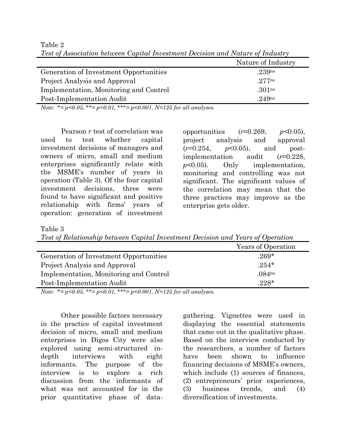|                                        | Nature of Industry |  |
|----------------------------------------|--------------------|--|
| Generation of Investment Opportunities | .239 <sub>ns</sub> |  |
| Project Analysis and Approval          | .277 <sub>ns</sub> |  |
| Implementation, Monitoring and Control | .301 <sub>ns</sub> |  |
| Post-Implementation Audit              | .249 <sub>ns</sub> |  |

Table 2 *Test of Association between Capital Investment Decision and Nature of Industry* 

*Note: \*= p<0.05, \*\*= p<0.01, \*\*\*= p<0.001. N=125 for all analyses.* 

Pearson *r* test of correlation was used to test whether capital investment decisions of managers and owners of micro, small and medium enterprises significantly relate with the MSME's number of years in operation (Table 3). Of the four capital investment decisions, three were found to have significant and positive relationship with firms' years of operation: generation of investment

opportunities (*r*=0.269, *p<*0.05), project analysis and approval (*r*=0.254, *p*<0.05), and postimplementation audit (*r*=0.228, *p<*0.05). Only implementation, monitoring and controlling was not significant. The significant values of the correlation may mean that the three practices may improve as the enterprise gets older.

Table 3

*Test of Relationship between Capital Investment Decision and Years of Operation* 

|                                        | Years of Operation |
|----------------------------------------|--------------------|
| Generation of Investment Opportunities | $.269*$            |
| Project Analysis and Approval          | $.254*$            |
| Implementation, Monitoring and Control | .084 <sub>ns</sub> |
| Post-Implementation Audit              | $.228*$            |

*Note: \*= p<0.05, \*\*= p<0.01, \*\*\*= p<0.001. N=125 for all analyses.* 

Other possible factors necessary in the practice of capital investment decision of micro, small and medium enterprises in Digos City were also explored using semi-structured indepth interviews with eight informants. The purpose of the interview is to explore a rich discussion from the informants of what was not accounted for in the prior quantitative phase of datagathering. Vignettes were used in displaying the essential statements that came out in the qualitative phase. Based on the interview conducted by the researchers, a number of factors have been shown to influence financing decisions of MSME's owners, which include  $(1)$  sources of finances, (2) entrepreneurs' prior experiences, (3) business trends, and (4) diversification of investments.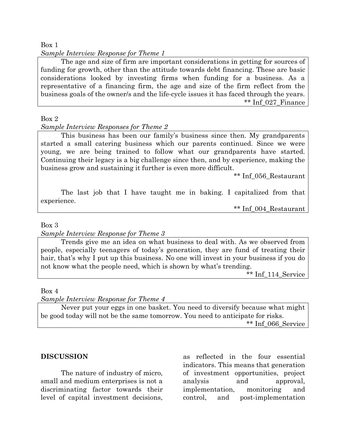Box 1

*Sample Interview Response for Theme 1* 

The age and size of firm are important considerations in getting for sources of funding for growth, other than the attitude towards debt financing. These are basic considerations looked by investing firms when funding for a business. As a representative of a financing firm, the age and size of the firm reflect from the business goals of the owner/s and the life-cycle issues it has faced through the years. \*\* Inf\_027\_Finance

#### Box 2

#### *Sample Interview Responses for Theme 2*

This business has been our family's business since then. My grandparents started a small catering business which our parents continued. Since we were young, we are being trained to follow what our grandparents have started. Continuing their legacy is a big challenge since then, and by experience, making the business grow and sustaining it further is even more difficult.

\*\* Inf\_056\_Restaurant

The last job that I have taught me in baking. I capitalized from that experience.

\*\* Inf\_004\_Restaurant

Box 3

#### *Sample Interview Response for Theme 3*

Trends give me an idea on what business to deal with. As we observed from people, especially teenagers of today's generation, they are fund of treating their hair, that's why I put up this business. No one will invest in your business if you do not know what the people need, which is shown by what's trending.

\*\* Inf\_114\_Service

Box 4

*Sample Interview Response for Theme 4* 

Never put your eggs in one basket. You need to diversify because what might be good today will not be the same tomorrow. You need to anticipate for risks. \*\* Inf\_066\_Service

## **DISCUSSION**

The nature of industry of micro, small and medium enterprises is not a discriminating factor towards their level of capital investment decisions, as reflected in the four essential indicators. This means that generation of investment opportunities, project analysis and approval, implementation, monitoring and control, and post-implementation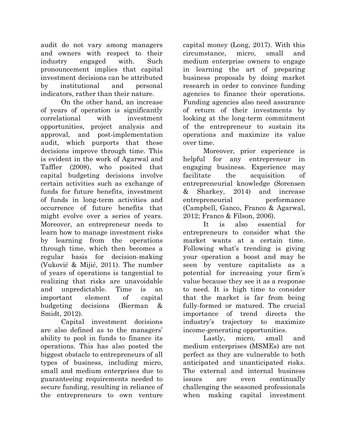audit do not vary among managers and owners with respect to their industry engaged with. Such pronouncement implies that capital investment decisions can be attributed by institutional and personal indicators, rather than their nature.

On the other hand, an increase of years of operation is significantly correlational with investment opportunities, project analysis and approval, and post-implementation audit, which purports that these decisions improve through time. This is evident in the work of Agarwal and Taffler (2008), who posited that capital budgeting decisions involve certain activities such as exchange of funds for future benefits, investment of funds in long-term activities and occurrence of future benefits that might evolve over a series of years. Moreover, an entrepreneur needs to learn how to manage investment risks by learning from the operations through time, which then becomes a regular basis for decision-making (Vuković & Mijić, 2011). The number of years of operations is tangential to realizing that risks are unavoidable and unpredictable. Time is an important element of capital budgeting decisions (Bierman & Smidt, 2012).

Capital investment decisions are also defined as to the managers' ability to pool in funds to finance its operations. This has also posted the biggest obstacle to entrepreneurs of all types of business, including micro, small and medium enterprises due to guaranteeing requirements needed to secure funding, resulting in reliance of the entrepreneurs to own venture

capital money (Long, 2017). With this circumstance, micro, small and medium enterprise owners to engage in learning the art of preparing business proposals by doing market research in order to convince funding agencies to finance their operations. Funding agencies also need assurance of return of their investments by looking at the long-term commitment of the entrepreneur to sustain its operations and maximize its value over time.

Moreover, prior experience is helpful for any entrepreneur in engaging business. Experience may facilitate the acquisition of entrepreneurial knowledge (Sorensen & Sharkey, 2014) and increase entrepreneurial performance (Campbell, Ganco, Franco & Agarwal, 2012; Franco & Filson, 2006).

It is also essential for entrepreneurs to consider what the market wants at a certain time. Following what's trending is giving your operation a boost and may be seen by venture capitalists as a potential for increasing your firm's value because they see it as a response to need. It is high time to consider that the market is far from being fully-formed or matured. The crucial importance of trend directs the industry's trajectory to maximize income-generating opportunities.

Lastly, micro, small and medium enterprises (MSMEs) are not perfect as they are vulnerable to both anticipated and unanticipated risks. The external and internal business issues are even continually challenging the seasoned professionals when making capital investment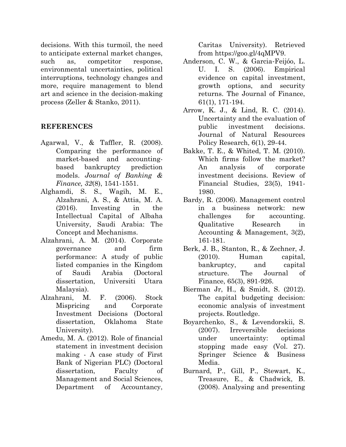decisions. With this turmoil, the need to anticipate external market changes, such as, competitor response, environmental uncertainties, political interruptions, technology changes and more, require management to blend art and science in the decision-making process (Zeller & Stanko, 2011).

#### **REFERENCES**

- Agarwal, V., & Taffler, R. (2008). Comparing the performance of market-based and accountingbased bankruptcy prediction models. *Journal of Banking & Finance, 32*(8), 1541-1551.
- Alghamdi, S. S., Wagih, M. E., Alzahrani, A. S., & Attia, M. A. (2016). Investing in the Intellectual Capital of Albaha University, Saudi Arabia: The Concept and Mechanisms.
- Alzahrani, A. M. (2014). Corporate governance and firm performance: A study of public listed companies in the Kingdom of Saudi Arabia (Doctoral dissertation, Universiti Utara Malaysia).
- Alzahrani, M. F. (2006). Stock Mispricing and Corporate Investment Decisions (Doctoral dissertation, Oklahoma State University).
- Amedu, M. A. (2012). Role of financial statement in investment decision making - A case study of First Bank of Nigerian PLC) (Doctoral dissertation, Faculty of Management and Social Sciences, Department of Accountancy,

Caritas University). Retrieved from https://goo.gl/4qMPV9.

- Anderson, C. W., & Garcia-Feijóo, L.<br>U. I. S. (2006). Empirical **E**mpirical evidence on capital investment, growth options, and security returns. The Journal of Finance, 61(1), 171-194.
- Arrow, K. J., & Lind, R. C. (2014). Uncertainty and the evaluation of public investment decisions. Journal of Natural Resources Policy Research, 6(1), 29-44.
- Bakke, T. E., & Whited, T. M. (2010). Which firms follow the market? An analysis of corporate investment decisions. Review of Financial Studies, 23(5), 1941- 1980.
- Bardy, R. (2006). Management control in a business network: new challenges for accounting. Qualitative Research in Accounting & Management, 3(2), 161-181.
- Berk, J. B., Stanton, R., & Zechner, J. (2010). Human capital, bankruptcy, and capital structure. The Journal of Finance, 65(3), 891-926.
- Bierman Jr, H., & Smidt, S. (2012). The capital budgeting decision: economic analysis of investment projects. Routledge.
- Boyarchenko, S., & Levendorskii, S. (2007). Irreversible decisions under uncertainty: optimal stopping made easy (Vol. 27). Springer Science & Business Media.
- Burnard, P., Gill, P., Stewart, K., Treasure, E., & Chadwick, B. (2008). Analysing and presenting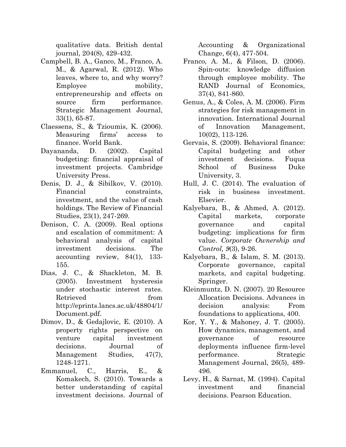qualitative data. British dental journal, 204(8), 429-432.

- Campbell, B. A., Ganco, M., Franco, A. M., & Agarwal, R. (2012). Who leaves, where to, and why worry? Employee mobility, entrepreneurship and effects on source firm performance. Strategic Management Journal, 33(1), 65-87.
- Claessens, S., & Tzioumis, K. (2006). Measuring firms' access to finance. World Bank.
- Dayananda, D. (2002). Capital budgeting: financial appraisal of investment projects. Cambridge University Press.
- Denis, D. J., & Sibilkov, V. (2010). Financial constraints, investment, and the value of cash holdings. The Review of Financial Studies, 23(1), 247-269.
- Denison, C. A. (2009). Real options and escalation of commitment: A behavioral analysis of capital investment decisions. The accounting review, 84(1), 133- 155.
- Dias, J. C., & Shackleton, M. B. (2005). Investment hysteresis under stochastic interest rates. Retrieved from http://eprints.lancs.ac.uk/48804/1/ Document.pdf.
- Dimov, D., & Gedajlovic, E. (2010). A property rights perspective on venture capital investment decisions. Journal of Management Studies, 47(7), 1248-1271.
- Emmanuel, C., Harris, E., & Komakech, S. (2010). Towards a better understanding of capital investment decisions. Journal of

Accounting & Organizational Change, 6(4), 477-504.

- Franco, A. M., & Filson, D. (2006). Spin‐outs: knowledge diffusion through employee mobility. The RAND Journal of Economics, 37(4), 841-860.
- Genus, A., & Coles, A. M. (2006). Firm strategies for risk management in innovation. International Journal of Innovation Management, 10(02), 113-126.
- Gervais, S. (2009). Behavioral finance: Capital budgeting and other investment decisions. Fuqua School of Business Duke University, 3.
- Hull, J. C. (2014). The evaluation of risk in business investment. Elsevier.
- Kalyebara, B., & Ahmed, A. (2012). Capital markets, corporate governance and capital budgeting: implications for firm value. *Corporate Ownership and Control, 9*(3), 9-26.
- Kalyebara, B., & Islam, S. M. (2013). Corporate governance, capital markets, and capital budgeting. Springer.
- Kleinmuntz, D. N. (2007). 20 Resource Allocation Decisions. Advances in decision analysis: From foundations to applications, 400.
- Kor, Y. Y., & Mahoney, J. T. (2005). How dynamics, management, and governance of resource deployments influence firm‐level performance. Strategic Management Journal, 26(5), 489- 496.
- Levy, H., & Sarnat, M. (1994). Capital investment and financial decisions. Pearson Education.